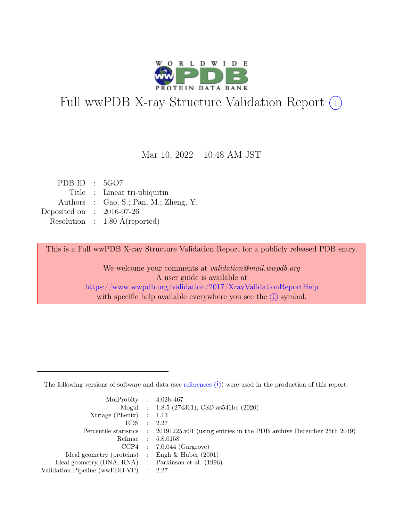

# Full wwPDB X-ray Structure Validation Report  $(i)$

Mar 10, 2022 – 10:48 AM JST

| PDB ID : $5GO7$             |                                          |
|-----------------------------|------------------------------------------|
|                             | Title : Linear tri-ubiquitin             |
|                             | Authors : Gao, S.; Pan, M.; Zheng, Y.    |
| Deposited on : $2016-07-26$ |                                          |
|                             | Resolution : $1.80 \text{ Å}$ (reported) |

This is a Full wwPDB X-ray Structure Validation Report for a publicly released PDB entry.

We welcome your comments at validation@mail.wwpdb.org A user guide is available at <https://www.wwpdb.org/validation/2017/XrayValidationReportHelp> with specific help available everywhere you see the  $(i)$  symbol.

The following versions of software and data (see [references](https://www.wwpdb.org/validation/2017/XrayValidationReportHelp#references)  $(i)$ ) were used in the production of this report:

| MolProbity : $4.02b-467$                            |                                                                                            |
|-----------------------------------------------------|--------------------------------------------------------------------------------------------|
|                                                     | Mogul : $1.8.5$ (274361), CSD as 541be (2020)                                              |
| Xtriage (Phenix) $: 1.13$                           |                                                                                            |
| $EDS$ :                                             | 2.27                                                                                       |
|                                                     | Percentile statistics : 20191225.v01 (using entries in the PDB archive December 25th 2019) |
|                                                     | Refmac : 5.8.0158                                                                          |
|                                                     | $CCP4$ : 7.0.044 (Gargrove)                                                                |
| Ideal geometry (proteins) : Engh $\&$ Huber (2001)  |                                                                                            |
| Ideal geometry (DNA, RNA) : Parkinson et al. (1996) |                                                                                            |
| Validation Pipeline (wwPDB-VP) : 2.27               |                                                                                            |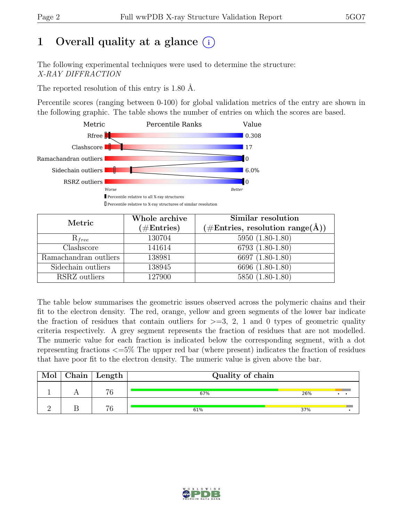## 1 Overall quality at a glance  $(i)$

The following experimental techniques were used to determine the structure: X-RAY DIFFRACTION

The reported resolution of this entry is 1.80 Å.

Percentile scores (ranging between 0-100) for global validation metrics of the entry are shown in the following graphic. The table shows the number of entries on which the scores are based.



| Metric                | Whole archive<br>$(\#Entries)$ | Similar resolution<br>$(\# \text{Entries}, \text{resolution range}(\AA))$ |
|-----------------------|--------------------------------|---------------------------------------------------------------------------|
| $R_{free}$            | 130704                         | 5950 (1.80-1.80)                                                          |
| Clashscore            | 141614                         | 6793 (1.80-1.80)                                                          |
| Ramachandran outliers | 138981                         | 6697 (1.80-1.80)                                                          |
| Sidechain outliers    | 138945                         | 6696 (1.80-1.80)                                                          |
| RSRZ outliers         | 127900                         | $5850(1.80-1.80)$                                                         |

The table below summarises the geometric issues observed across the polymeric chains and their fit to the electron density. The red, orange, yellow and green segments of the lower bar indicate the fraction of residues that contain outliers for  $>=$  3, 2, 1 and 0 types of geometric quality criteria respectively. A grey segment represents the fraction of residues that are not modelled. The numeric value for each fraction is indicated below the corresponding segment, with a dot representing fractions <=5% The upper red bar (where present) indicates the fraction of residues that have poor fit to the electron density. The numeric value is given above the bar.

| Mol | ${\rm Chain \mid Length}$ | Quality of chain |     |
|-----|---------------------------|------------------|-----|
|     | 76                        | 67%              | 26% |
|     | 76                        | 61%              | 37% |

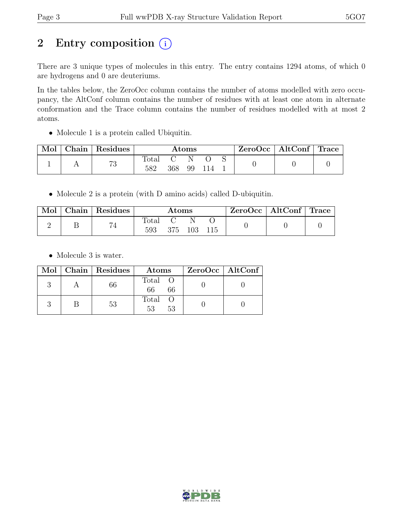## 2 Entry composition  $(i)$

There are 3 unique types of molecules in this entry. The entry contains 1294 atoms, of which 0 are hydrogens and 0 are deuteriums.

In the tables below, the ZeroOcc column contains the number of atoms modelled with zero occupancy, the AltConf column contains the number of residues with at least one atom in alternate conformation and the Trace column contains the number of residues modelled with at most 2 atoms.

• Molecule 1 is a protein called Ubiquitin.

| Mol | ${\rm Chain} \mid$ | Residues | Atoms        |     |    | ZeroOcc   AltConf   Trace |  |  |  |
|-----|--------------------|----------|--------------|-----|----|---------------------------|--|--|--|
|     |                    | 73       | Total<br>582 | 368 | 99 |                           |  |  |  |

• Molecule 2 is a protein (with D amino acids) called D-ubiquitin.

| Mol | $\Box$ Chain   Residues $\Box$ | Atoms        |     |     | ZeroOcc   AltConf   Trace |  |  |
|-----|--------------------------------|--------------|-----|-----|---------------------------|--|--|
|     | 74                             | Total<br>593 | 375 | 103 | -115                      |  |  |

• Molecule 3 is water.

|  | Mol   Chain   Residues | Atoms               | $ZeroOcc \   \$ AltConf |
|--|------------------------|---------------------|-------------------------|
|  | 66                     | Total O<br>66<br>66 |                         |
|  | 53                     | Total O<br>53<br>53 |                         |

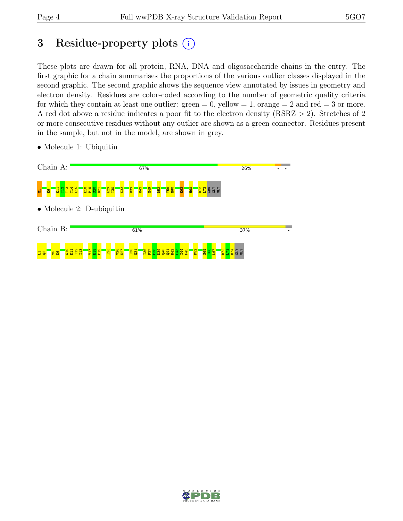## 3 Residue-property plots  $(i)$

These plots are drawn for all protein, RNA, DNA and oligosaccharide chains in the entry. The first graphic for a chain summarises the proportions of the various outlier classes displayed in the second graphic. The second graphic shows the sequence view annotated by issues in geometry and electron density. Residues are color-coded according to the number of geometric quality criteria for which they contain at least one outlier:  $green = 0$ , yellow  $= 1$ , orange  $= 2$  and red  $= 3$  or more. A red dot above a residue indicates a poor fit to the electron density (RSRZ > 2). Stretches of 2 or more consecutive residues without any outlier are shown as a green connector. Residues present in the sample, but not in the model, are shown in grey.



• Molecule 1: Ubiquitin

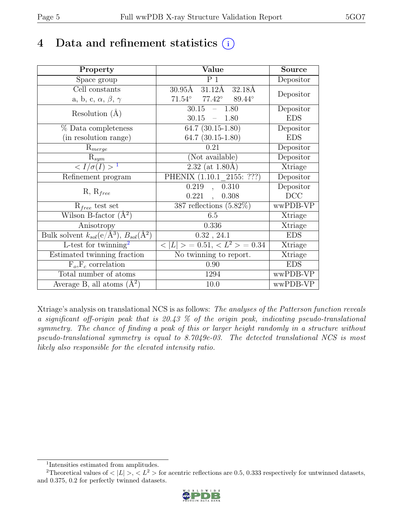## 4 Data and refinement statistics  $(i)$

| Property                                                             | Value                                                 | <b>Source</b>  |
|----------------------------------------------------------------------|-------------------------------------------------------|----------------|
| Space group                                                          | $\overline{P1}$                                       | Depositor      |
| Cell constants                                                       | $30.95\text{\AA}$ $31.12\text{\AA}$ $32.18\text{\AA}$ |                |
| a, b, c, $\alpha$ , $\beta$ , $\gamma$                               | $71.54^\circ$<br>$77.42^\circ$<br>89.44°              | Depositor      |
| Resolution $(A)$                                                     | 30.15<br>$-1.80$                                      | Depositor      |
|                                                                      | 30.15<br>$-1.80$                                      | <b>EDS</b>     |
| % Data completeness                                                  | $\overline{64.7}$ $(30.15-1.80)$                      | Depositor      |
| (in resolution range)                                                | 64.7 $(30.15-1.80)$                                   | <b>EDS</b>     |
| $R_{merge}$                                                          | 0.21                                                  | Depositor      |
| $\mathrm{R}_{sym}$                                                   | (Not available)                                       | Depositor      |
| $\langle I/\sigma(I) \rangle^{-1}$                                   | $2.32 \; (at \; 1.80 \AA)$                            | Xtriage        |
| Refinement program                                                   | PHENIX $(1.10.1 \t 2155: ???)$                        | Depositor      |
|                                                                      | , 0.310<br>0.219                                      | Depositor      |
| $R, R_{free}$                                                        | $0.221$ ,<br>0.308                                    | DCC            |
| $R_{free}$ test set                                                  | 387 reflections $(5.82\%)$                            | wwPDB-VP       |
| Wilson B-factor $(A^2)$                                              | 6.5                                                   | Xtriage        |
| Anisotropy                                                           | 0.336                                                 | Xtriage        |
| Bulk solvent $k_{sol}(e/\mathring{A}^3)$ , $B_{sol}(\mathring{A}^2)$ | $0.32$ , $24.1$                                       | <b>EDS</b>     |
| L-test for twinning <sup>2</sup>                                     | $< L >$ = 0.51, $< L^2 >$ = 0.34                      | <b>Xtriage</b> |
| Estimated twinning fraction                                          | No twinning to report.                                | Xtriage        |
| $F_o, F_c$ correlation                                               | 0.90                                                  | <b>EDS</b>     |
| Total number of atoms                                                | 1294                                                  | wwPDB-VP       |
| Average B, all atoms $(A^2)$                                         | 10.0                                                  | wwPDB-VP       |

Xtriage's analysis on translational NCS is as follows: The analyses of the Patterson function reveals a significant off-origin peak that is 20.43 % of the origin peak, indicating pseudo-translational symmetry. The chance of finding a peak of this or larger height randomly in a structure without pseudo-translational symmetry is equal to 8.7049e-03. The detected translational NCS is most likely also responsible for the elevated intensity ratio.

<sup>&</sup>lt;sup>2</sup>Theoretical values of  $\langle |L| \rangle$ ,  $\langle L^2 \rangle$  for acentric reflections are 0.5, 0.333 respectively for untwinned datasets, and 0.375, 0.2 for perfectly twinned datasets.



<span id="page-4-1"></span><span id="page-4-0"></span><sup>1</sup> Intensities estimated from amplitudes.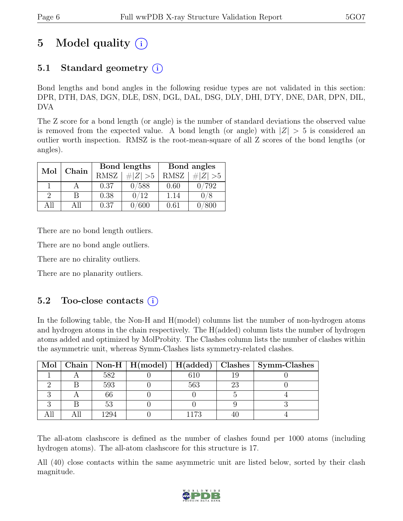## 5 Model quality  $(i)$

### 5.1 Standard geometry (i)

Bond lengths and bond angles in the following residue types are not validated in this section: DPR, DTH, DAS, DGN, DLE, DSN, DGL, DAL, DSG, DLY, DHI, DTY, DNE, DAR, DPN, DIL, DVA

The Z score for a bond length (or angle) is the number of standard deviations the observed value is removed from the expected value. A bond length (or angle) with  $|Z| > 5$  is considered an outlier worth inspection. RMSZ is the root-mean-square of all Z scores of the bond lengths (or angles).

| Mol | Chain |             | Bond lengths | Bond angles |             |  |
|-----|-------|-------------|--------------|-------------|-------------|--|
|     |       | <b>RMSZ</b> | $\# Z  > 5$  | <b>RMSZ</b> | # $ Z  > 5$ |  |
|     |       | 0.37        | 588          | 0.60        | 792         |  |
| 2   |       | 0.38        | 0/12         | 1.14        |             |  |
| ΔP  | A 11  | 0.37        |              | 0.61        |             |  |

There are no bond length outliers.

There are no bond angle outliers.

There are no chirality outliers.

There are no planarity outliers.

#### 5.2 Too-close contacts  $(i)$

In the following table, the Non-H and H(model) columns list the number of non-hydrogen atoms and hydrogen atoms in the chain respectively. The H(added) column lists the number of hydrogen atoms added and optimized by MolProbity. The Clashes column lists the number of clashes within the asymmetric unit, whereas Symm-Clashes lists symmetry-related clashes.

|  |      |      |    | Mol   Chain   Non-H   H(model)   H(added)   Clashes   Symm-Clashes |
|--|------|------|----|--------------------------------------------------------------------|
|  | 582  | 610  |    |                                                                    |
|  | 593  | 563  | 23 |                                                                    |
|  | 66   |      |    |                                                                    |
|  | 53   |      |    |                                                                    |
|  | 1294 | 1173 |    |                                                                    |

The all-atom clashscore is defined as the number of clashes found per 1000 atoms (including hydrogen atoms). The all-atom clashscore for this structure is 17.

All (40) close contacts within the same asymmetric unit are listed below, sorted by their clash magnitude.

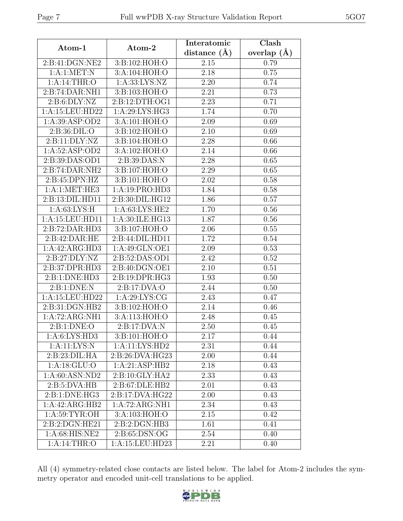| Page 7                     | Full wwPDB X-ray Structure Validation Report |                               | 5GO7                   |  |
|----------------------------|----------------------------------------------|-------------------------------|------------------------|--|
| Atom-1                     | Atom-2                                       | Interatomic<br>distance $(A)$ | Clash<br>overlap $(A)$ |  |
| 2:B:41:DGN:NE2             | 3:B:102:HOH:O                                | 2.15                          | 0.79                   |  |
| 1: A:1: MET: N             | 3:A:104:HOH:O                                | 2.18                          | 0.75                   |  |
| 1:A:14:THR:O               | 1: A: 33: LYS: NZ                            | 2.20                          | 0.74                   |  |
| 2:B:74:DAR:NH1             | 3:B:103:HOH:O                                | 2.21                          | 0.73                   |  |
| 2: B: 6: DLY: NZ           | 2:B:12:DTH:OG1                               | 2.23                          | 0.71                   |  |
| 1:A:15:LEU:HD22            | 1: A:29: LYS: HG3                            | 1.74                          | 0.70                   |  |
| 1: A:39: ASP:OD2           | 3:A:101:HOH:O                                | 2.09                          | 0.69                   |  |
| 2: B:36: DIL:O             | 3:B:102:HOH:O                                | 2.10                          | 0.69                   |  |
| 2:B:11:DLY:NZ              | 3:B:104:HOH:O                                | 2.28                          | 0.66                   |  |
| 1: A:52: ASP:OD2           | 3:A:102:HOH:O                                | 2.14                          | 0.66                   |  |
| 2:B:39:DAS:OD1             | 2:B:39:DAS:N                                 | 2.28                          | 0.65                   |  |
| 2:B:74:DAR:NH2             | 3:B:107:HOH:O                                | 2.29                          | 0.65                   |  |
| 2: B: 45: DPN: HZ          | 3:B:101:HOH:O                                | $\overline{2.02}$             | 0.58                   |  |
| 1:A:1:MET:HE3              | 1:A:19:PRO:HD3                               | 1.84                          | 0.58                   |  |
| 2: B: 13: DIL: HD11        | 2:B:30:DIL:HG12                              | 1.86                          | $\overline{0.57}$      |  |
| 1: A:63: LYS:H             | 1:A:63:LYS:HE2                               | 1.70                          | 0.56                   |  |
| 1:A:15:LEU:HD11            | 1:A:30:ILE:HG13                              | 1.87                          | 0.56                   |  |
| 2:B:72:DAR:HD3             | 3:B:107:HOH:O                                | 2.06                          | 0.55                   |  |
| 2:B:42:DAR:HE              | 2:B:44:DIL:HD11                              | 1.72                          | 0.54                   |  |
| 1:A:42:ARG:HD3             | 1:A:49:GLN:OE1                               | 2.09                          | 0.53                   |  |
| 2:B:27:DLY:NZ              | 2:B:52:DAS:OD1                               | 2.42                          | 0.52                   |  |
| 2:B:37:DPR:HD3             | 2:B:40:DGN:OE1                               | 2.10                          | 0.51                   |  |
| 2:B:1:DNE:HD3              | 2:B:19:DPR:HG3                               | 1.93                          | 0.50                   |  |
| $\alpha$ D $\beta$ DNID NI |                                              | $\sim$ $\mu$                  | $\sim$ $\sim$ $\sim$   |  |

| 2:B:41:DGN:NE2<br>2.15<br>0.79<br>3:B:102:HOH:O<br>1: A:1: MET: N<br>3:A:104:HOH:O<br>2.18<br>0.75<br>1:A:14:THR:O<br>1: A: 33: LYS: NZ<br>2.20<br>0.74<br>2:B:74:DAR:NH1<br>3:B:103:HOH:O<br>2.21<br>0.73<br>2:B:12:DTH:OG1<br>2: B: 6: DLY: NZ<br>2.23<br>0.71<br>1:A:15:LEU:HD22<br>1:A:29:LYS:HG3<br>1.74<br>0.70<br>1:A:39:ASP:OD2<br>3:A:101:HOH:O<br>2.09<br>0.69<br>2.10<br>2: B:36: DIL:O<br>3:B:102:HOH:O<br>0.69<br>2:Bi11:DLY:NZ<br>3:B:104:HOH:O<br>2.28<br>0.66<br>1:A:52:ASP:OD2<br>3:A:102:HOH:O<br>2.14<br>0.66<br>2:B:39:DAS:OD1<br>2: B:39: DAS:N<br>2.28<br>0.65<br>2:B:74:DAR:NH2<br>3:B:107:HOH:O<br>2.29<br>0.65<br>2:B:45:DPN:HZ<br>3:B:101:HOH:O<br>2.02<br>0.58<br>1:A:1:MET:HE3<br>1:A:19:PRO:HD3<br>1.84<br>0.58<br>2:B:13:DIL:HD11<br>2:B:30:DIL:HG12<br>1.86<br>0.57<br>1: A:63: LYS:H<br>1:A:63:LYS:HE2<br>1.70<br>0.56<br>1:A:15:LEU:HD11<br>1:A:30:ILE:HG13<br>1.87<br>0.56<br>2:B:72:DAR:HD3<br>3:B:107:HOH:O<br>2.06<br>0.55<br>2:B:42:DAR:HE<br>2:B:44:DIL:HD11<br>1.72<br>0.54<br>1:A:42:ARG:HD3<br>1:A:49:GLN:OE1<br>2.09<br>0.53<br>2:B:27:DLY:NZ<br>2:B:52:DAS:OD1<br>2.42<br>0.52<br>2:B:40:DGN:OE1<br>2:B:37:DPR:HD3<br>2.10<br>0.51<br>2:B:1:DNE:HD3<br>2: B: 19: DPR: HG3<br>1.93<br>0.50<br>2: B: 1: DNE: N<br>2:B:17:DVA:O<br>2.44<br>0.50<br>1:A:15:LEU:HD22<br>1:A:29:LYS:CG<br>2.43<br>0.47<br>2:B:31:DGN:HB2<br>3:B:102:HOH:O<br>2.14<br>0.46<br>1:A:72:ARG:NH1<br>3:A:113:HOH:O<br>2.48<br>0.45<br>2: B: 1: DNE: O<br>2:B:17:DVA:N<br>2.50<br>0.45<br>1: A:6: LYS: HD3<br>3:B:101:HOH:O<br>2.17<br>0.44<br>1:A:11:LYS:N<br>1:A:11:LYS:HD2<br>2.31<br>0.44<br>2:B:23:DIL:HA<br>2:B:26:DVA:HG23<br>2.00<br>0.44<br>1: A:18: GLU:O<br>1:A:21:ASP:HB2<br>2.18<br>0.43<br>1:A:60:ASN:ND2<br>$2: B:10: GLY: H\overline{A2}$<br>2.33<br>0.43<br>2: B: 5: DVA: HB<br>2:B:67:DLE:HB2<br>2.01<br>0.43<br>2:B:1:DNE:HG3<br>2:B:17:DVA:HG22<br>2.00<br>0.43<br>1:A:42:ARG:HB2<br>1:A:72:ARG:NH1<br>2.34<br>0.43<br>1: A:59: TYR:OH<br>3:A:103:HOH:O<br>2.15<br>0.42<br>2:B:2:DGN:HE21<br>2:B:2:DGN:HB3<br>1.61<br>0.41<br>1:A:68:HIS:NE2<br>2:B:65:DSN:OG<br>2.54<br>0.40<br>1: A:14:THR:O<br>1:A:15:LEU:HD23<br>0.40<br>2.21 |  | distance $(A)$ | overlap $(A)$ |
|----------------------------------------------------------------------------------------------------------------------------------------------------------------------------------------------------------------------------------------------------------------------------------------------------------------------------------------------------------------------------------------------------------------------------------------------------------------------------------------------------------------------------------------------------------------------------------------------------------------------------------------------------------------------------------------------------------------------------------------------------------------------------------------------------------------------------------------------------------------------------------------------------------------------------------------------------------------------------------------------------------------------------------------------------------------------------------------------------------------------------------------------------------------------------------------------------------------------------------------------------------------------------------------------------------------------------------------------------------------------------------------------------------------------------------------------------------------------------------------------------------------------------------------------------------------------------------------------------------------------------------------------------------------------------------------------------------------------------------------------------------------------------------------------------------------------------------------------------------------------------------------------------------------------------------------------------------------------------------------------------------------------------------------------------------------------------------------------------------------------------------------------------------------------|--|----------------|---------------|
|                                                                                                                                                                                                                                                                                                                                                                                                                                                                                                                                                                                                                                                                                                                                                                                                                                                                                                                                                                                                                                                                                                                                                                                                                                                                                                                                                                                                                                                                                                                                                                                                                                                                                                                                                                                                                                                                                                                                                                                                                                                                                                                                                                      |  |                |               |
|                                                                                                                                                                                                                                                                                                                                                                                                                                                                                                                                                                                                                                                                                                                                                                                                                                                                                                                                                                                                                                                                                                                                                                                                                                                                                                                                                                                                                                                                                                                                                                                                                                                                                                                                                                                                                                                                                                                                                                                                                                                                                                                                                                      |  |                |               |
|                                                                                                                                                                                                                                                                                                                                                                                                                                                                                                                                                                                                                                                                                                                                                                                                                                                                                                                                                                                                                                                                                                                                                                                                                                                                                                                                                                                                                                                                                                                                                                                                                                                                                                                                                                                                                                                                                                                                                                                                                                                                                                                                                                      |  |                |               |
|                                                                                                                                                                                                                                                                                                                                                                                                                                                                                                                                                                                                                                                                                                                                                                                                                                                                                                                                                                                                                                                                                                                                                                                                                                                                                                                                                                                                                                                                                                                                                                                                                                                                                                                                                                                                                                                                                                                                                                                                                                                                                                                                                                      |  |                |               |
|                                                                                                                                                                                                                                                                                                                                                                                                                                                                                                                                                                                                                                                                                                                                                                                                                                                                                                                                                                                                                                                                                                                                                                                                                                                                                                                                                                                                                                                                                                                                                                                                                                                                                                                                                                                                                                                                                                                                                                                                                                                                                                                                                                      |  |                |               |
|                                                                                                                                                                                                                                                                                                                                                                                                                                                                                                                                                                                                                                                                                                                                                                                                                                                                                                                                                                                                                                                                                                                                                                                                                                                                                                                                                                                                                                                                                                                                                                                                                                                                                                                                                                                                                                                                                                                                                                                                                                                                                                                                                                      |  |                |               |
|                                                                                                                                                                                                                                                                                                                                                                                                                                                                                                                                                                                                                                                                                                                                                                                                                                                                                                                                                                                                                                                                                                                                                                                                                                                                                                                                                                                                                                                                                                                                                                                                                                                                                                                                                                                                                                                                                                                                                                                                                                                                                                                                                                      |  |                |               |
|                                                                                                                                                                                                                                                                                                                                                                                                                                                                                                                                                                                                                                                                                                                                                                                                                                                                                                                                                                                                                                                                                                                                                                                                                                                                                                                                                                                                                                                                                                                                                                                                                                                                                                                                                                                                                                                                                                                                                                                                                                                                                                                                                                      |  |                |               |
|                                                                                                                                                                                                                                                                                                                                                                                                                                                                                                                                                                                                                                                                                                                                                                                                                                                                                                                                                                                                                                                                                                                                                                                                                                                                                                                                                                                                                                                                                                                                                                                                                                                                                                                                                                                                                                                                                                                                                                                                                                                                                                                                                                      |  |                |               |
|                                                                                                                                                                                                                                                                                                                                                                                                                                                                                                                                                                                                                                                                                                                                                                                                                                                                                                                                                                                                                                                                                                                                                                                                                                                                                                                                                                                                                                                                                                                                                                                                                                                                                                                                                                                                                                                                                                                                                                                                                                                                                                                                                                      |  |                |               |
|                                                                                                                                                                                                                                                                                                                                                                                                                                                                                                                                                                                                                                                                                                                                                                                                                                                                                                                                                                                                                                                                                                                                                                                                                                                                                                                                                                                                                                                                                                                                                                                                                                                                                                                                                                                                                                                                                                                                                                                                                                                                                                                                                                      |  |                |               |
|                                                                                                                                                                                                                                                                                                                                                                                                                                                                                                                                                                                                                                                                                                                                                                                                                                                                                                                                                                                                                                                                                                                                                                                                                                                                                                                                                                                                                                                                                                                                                                                                                                                                                                                                                                                                                                                                                                                                                                                                                                                                                                                                                                      |  |                |               |
|                                                                                                                                                                                                                                                                                                                                                                                                                                                                                                                                                                                                                                                                                                                                                                                                                                                                                                                                                                                                                                                                                                                                                                                                                                                                                                                                                                                                                                                                                                                                                                                                                                                                                                                                                                                                                                                                                                                                                                                                                                                                                                                                                                      |  |                |               |
|                                                                                                                                                                                                                                                                                                                                                                                                                                                                                                                                                                                                                                                                                                                                                                                                                                                                                                                                                                                                                                                                                                                                                                                                                                                                                                                                                                                                                                                                                                                                                                                                                                                                                                                                                                                                                                                                                                                                                                                                                                                                                                                                                                      |  |                |               |
|                                                                                                                                                                                                                                                                                                                                                                                                                                                                                                                                                                                                                                                                                                                                                                                                                                                                                                                                                                                                                                                                                                                                                                                                                                                                                                                                                                                                                                                                                                                                                                                                                                                                                                                                                                                                                                                                                                                                                                                                                                                                                                                                                                      |  |                |               |
|                                                                                                                                                                                                                                                                                                                                                                                                                                                                                                                                                                                                                                                                                                                                                                                                                                                                                                                                                                                                                                                                                                                                                                                                                                                                                                                                                                                                                                                                                                                                                                                                                                                                                                                                                                                                                                                                                                                                                                                                                                                                                                                                                                      |  |                |               |
|                                                                                                                                                                                                                                                                                                                                                                                                                                                                                                                                                                                                                                                                                                                                                                                                                                                                                                                                                                                                                                                                                                                                                                                                                                                                                                                                                                                                                                                                                                                                                                                                                                                                                                                                                                                                                                                                                                                                                                                                                                                                                                                                                                      |  |                |               |
|                                                                                                                                                                                                                                                                                                                                                                                                                                                                                                                                                                                                                                                                                                                                                                                                                                                                                                                                                                                                                                                                                                                                                                                                                                                                                                                                                                                                                                                                                                                                                                                                                                                                                                                                                                                                                                                                                                                                                                                                                                                                                                                                                                      |  |                |               |
|                                                                                                                                                                                                                                                                                                                                                                                                                                                                                                                                                                                                                                                                                                                                                                                                                                                                                                                                                                                                                                                                                                                                                                                                                                                                                                                                                                                                                                                                                                                                                                                                                                                                                                                                                                                                                                                                                                                                                                                                                                                                                                                                                                      |  |                |               |
|                                                                                                                                                                                                                                                                                                                                                                                                                                                                                                                                                                                                                                                                                                                                                                                                                                                                                                                                                                                                                                                                                                                                                                                                                                                                                                                                                                                                                                                                                                                                                                                                                                                                                                                                                                                                                                                                                                                                                                                                                                                                                                                                                                      |  |                |               |
|                                                                                                                                                                                                                                                                                                                                                                                                                                                                                                                                                                                                                                                                                                                                                                                                                                                                                                                                                                                                                                                                                                                                                                                                                                                                                                                                                                                                                                                                                                                                                                                                                                                                                                                                                                                                                                                                                                                                                                                                                                                                                                                                                                      |  |                |               |
|                                                                                                                                                                                                                                                                                                                                                                                                                                                                                                                                                                                                                                                                                                                                                                                                                                                                                                                                                                                                                                                                                                                                                                                                                                                                                                                                                                                                                                                                                                                                                                                                                                                                                                                                                                                                                                                                                                                                                                                                                                                                                                                                                                      |  |                |               |
|                                                                                                                                                                                                                                                                                                                                                                                                                                                                                                                                                                                                                                                                                                                                                                                                                                                                                                                                                                                                                                                                                                                                                                                                                                                                                                                                                                                                                                                                                                                                                                                                                                                                                                                                                                                                                                                                                                                                                                                                                                                                                                                                                                      |  |                |               |
|                                                                                                                                                                                                                                                                                                                                                                                                                                                                                                                                                                                                                                                                                                                                                                                                                                                                                                                                                                                                                                                                                                                                                                                                                                                                                                                                                                                                                                                                                                                                                                                                                                                                                                                                                                                                                                                                                                                                                                                                                                                                                                                                                                      |  |                |               |
|                                                                                                                                                                                                                                                                                                                                                                                                                                                                                                                                                                                                                                                                                                                                                                                                                                                                                                                                                                                                                                                                                                                                                                                                                                                                                                                                                                                                                                                                                                                                                                                                                                                                                                                                                                                                                                                                                                                                                                                                                                                                                                                                                                      |  |                |               |
|                                                                                                                                                                                                                                                                                                                                                                                                                                                                                                                                                                                                                                                                                                                                                                                                                                                                                                                                                                                                                                                                                                                                                                                                                                                                                                                                                                                                                                                                                                                                                                                                                                                                                                                                                                                                                                                                                                                                                                                                                                                                                                                                                                      |  |                |               |
|                                                                                                                                                                                                                                                                                                                                                                                                                                                                                                                                                                                                                                                                                                                                                                                                                                                                                                                                                                                                                                                                                                                                                                                                                                                                                                                                                                                                                                                                                                                                                                                                                                                                                                                                                                                                                                                                                                                                                                                                                                                                                                                                                                      |  |                |               |
|                                                                                                                                                                                                                                                                                                                                                                                                                                                                                                                                                                                                                                                                                                                                                                                                                                                                                                                                                                                                                                                                                                                                                                                                                                                                                                                                                                                                                                                                                                                                                                                                                                                                                                                                                                                                                                                                                                                                                                                                                                                                                                                                                                      |  |                |               |
|                                                                                                                                                                                                                                                                                                                                                                                                                                                                                                                                                                                                                                                                                                                                                                                                                                                                                                                                                                                                                                                                                                                                                                                                                                                                                                                                                                                                                                                                                                                                                                                                                                                                                                                                                                                                                                                                                                                                                                                                                                                                                                                                                                      |  |                |               |
|                                                                                                                                                                                                                                                                                                                                                                                                                                                                                                                                                                                                                                                                                                                                                                                                                                                                                                                                                                                                                                                                                                                                                                                                                                                                                                                                                                                                                                                                                                                                                                                                                                                                                                                                                                                                                                                                                                                                                                                                                                                                                                                                                                      |  |                |               |
|                                                                                                                                                                                                                                                                                                                                                                                                                                                                                                                                                                                                                                                                                                                                                                                                                                                                                                                                                                                                                                                                                                                                                                                                                                                                                                                                                                                                                                                                                                                                                                                                                                                                                                                                                                                                                                                                                                                                                                                                                                                                                                                                                                      |  |                |               |
|                                                                                                                                                                                                                                                                                                                                                                                                                                                                                                                                                                                                                                                                                                                                                                                                                                                                                                                                                                                                                                                                                                                                                                                                                                                                                                                                                                                                                                                                                                                                                                                                                                                                                                                                                                                                                                                                                                                                                                                                                                                                                                                                                                      |  |                |               |
|                                                                                                                                                                                                                                                                                                                                                                                                                                                                                                                                                                                                                                                                                                                                                                                                                                                                                                                                                                                                                                                                                                                                                                                                                                                                                                                                                                                                                                                                                                                                                                                                                                                                                                                                                                                                                                                                                                                                                                                                                                                                                                                                                                      |  |                |               |
|                                                                                                                                                                                                                                                                                                                                                                                                                                                                                                                                                                                                                                                                                                                                                                                                                                                                                                                                                                                                                                                                                                                                                                                                                                                                                                                                                                                                                                                                                                                                                                                                                                                                                                                                                                                                                                                                                                                                                                                                                                                                                                                                                                      |  |                |               |
|                                                                                                                                                                                                                                                                                                                                                                                                                                                                                                                                                                                                                                                                                                                                                                                                                                                                                                                                                                                                                                                                                                                                                                                                                                                                                                                                                                                                                                                                                                                                                                                                                                                                                                                                                                                                                                                                                                                                                                                                                                                                                                                                                                      |  |                |               |
|                                                                                                                                                                                                                                                                                                                                                                                                                                                                                                                                                                                                                                                                                                                                                                                                                                                                                                                                                                                                                                                                                                                                                                                                                                                                                                                                                                                                                                                                                                                                                                                                                                                                                                                                                                                                                                                                                                                                                                                                                                                                                                                                                                      |  |                |               |
|                                                                                                                                                                                                                                                                                                                                                                                                                                                                                                                                                                                                                                                                                                                                                                                                                                                                                                                                                                                                                                                                                                                                                                                                                                                                                                                                                                                                                                                                                                                                                                                                                                                                                                                                                                                                                                                                                                                                                                                                                                                                                                                                                                      |  |                |               |
|                                                                                                                                                                                                                                                                                                                                                                                                                                                                                                                                                                                                                                                                                                                                                                                                                                                                                                                                                                                                                                                                                                                                                                                                                                                                                                                                                                                                                                                                                                                                                                                                                                                                                                                                                                                                                                                                                                                                                                                                                                                                                                                                                                      |  |                |               |
|                                                                                                                                                                                                                                                                                                                                                                                                                                                                                                                                                                                                                                                                                                                                                                                                                                                                                                                                                                                                                                                                                                                                                                                                                                                                                                                                                                                                                                                                                                                                                                                                                                                                                                                                                                                                                                                                                                                                                                                                                                                                                                                                                                      |  |                |               |
|                                                                                                                                                                                                                                                                                                                                                                                                                                                                                                                                                                                                                                                                                                                                                                                                                                                                                                                                                                                                                                                                                                                                                                                                                                                                                                                                                                                                                                                                                                                                                                                                                                                                                                                                                                                                                                                                                                                                                                                                                                                                                                                                                                      |  |                |               |

All (4) symmetry-related close contacts are listed below. The label for Atom-2 includes the symmetry operator and encoded unit-cell translations to be applied.

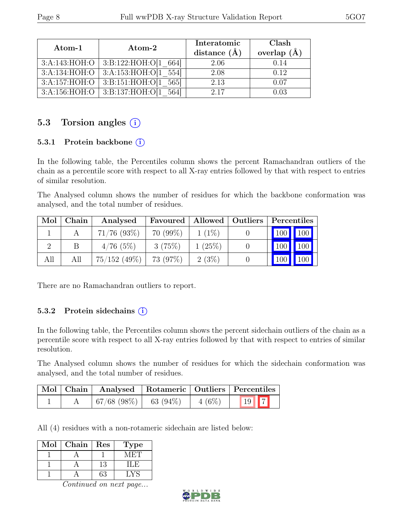| Atom-1        | $\rm{Atom}\text{-}2$                 | Interatomic<br>distance $(A)$ | Clash<br>overlap $(\AA)$ |
|---------------|--------------------------------------|-------------------------------|--------------------------|
| 3:A:143:HOH:O | 3:B:122:HOH:O[1 664]                 | 2.06                          | 0.14                     |
| 3:A:134:HOH:O | 3:A:153:HOH:O[1 554]                 | 2.08                          | 0.12                     |
| 3:A:157:HOH:O | 3: B:151: HOH:O[1 565]               | 2.13                          | 0.07                     |
|               | $3:A:156:HOH:O$ 3:B:137:HOH:O[1 564] | 2.17                          | 0.03                     |

#### 5.3 Torsion angles  $(i)$

#### 5.3.1 Protein backbone  $(i)$

In the following table, the Percentiles column shows the percent Ramachandran outliers of the chain as a percentile score with respect to all X-ray entries followed by that with respect to entries of similar resolution.

The Analysed column shows the number of residues for which the backbone conformation was analysed, and the total number of residues.

| Mol | Chain | Analysed       | Favoured   | Allowed   Outliers | Percentiles |     |
|-----|-------|----------------|------------|--------------------|-------------|-----|
|     |       | $71/76$ (93\%) | $70(99\%)$ | $1(1\%)$           | $100$ 100   |     |
|     |       | 4/76(5%)       | 3(75%)     | 1(25%)             |             |     |
| All | All   | $75/152$ (49%) | 73 (97%)   | 2(3%)              | 100         | 100 |

There are no Ramachandran outliers to report.

#### 5.3.2 Protein side chains  $(i)$

In the following table, the Percentiles column shows the percent sidechain outliers of the chain as a percentile score with respect to all X-ray entries followed by that with respect to entries of similar resolution.

The Analysed column shows the number of residues for which the sidechain conformation was analysed, and the total number of residues.

|  | Mol   Chain   Analysed   Rotameric   Outliers   Percentiles |          |              |
|--|-------------------------------------------------------------|----------|--------------|
|  | $\mid 67/68 \; (98\%) \mid 63 \; (94\%)$                    | $4(6\%)$ | $\boxed{19}$ |

All (4) residues with a non-rotameric sidechain are listed below:

| Mol | Chain | Res | l'ype  |
|-----|-------|-----|--------|
|     |       |     | VLECT. |
|     |       | 13  | 1 I .H |
|     |       | 53  |        |

Continued on next page...

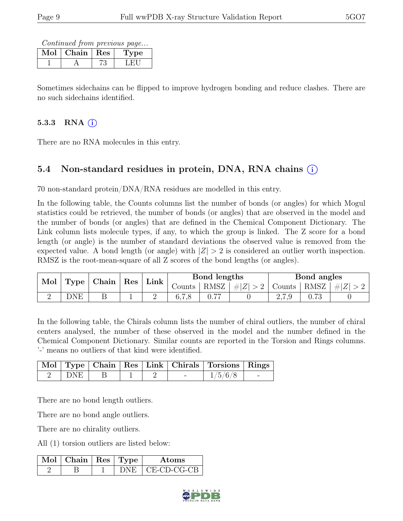Continued from previous page...

| Mol | Chain | $\mathbf{Res}$ | рe |
|-----|-------|----------------|----|
|     |       |                |    |

Sometimes sidechains can be flipped to improve hydrogen bonding and reduce clashes. There are no such sidechains identified.

#### 5.3.3 RNA  $(i)$

There are no RNA molecules in this entry.

### 5.4 Non-standard residues in protein, DNA, RNA chains (i)

70 non-standard protein/DNA/RNA residues are modelled in this entry.

In the following table, the Counts columns list the number of bonds (or angles) for which Mogul statistics could be retrieved, the number of bonds (or angles) that are observed in the model and the number of bonds (or angles) that are defined in the Chemical Component Dictionary. The Link column lists molecule types, if any, to which the group is linked. The Z score for a bond length (or angle) is the number of standard deviations the observed value is removed from the expected value. A bond length (or angle) with  $|Z| > 2$  is considered an outlier worth inspection. RMSZ is the root-mean-square of all Z scores of the bond lengths (or angles).

| Mol | Type | Chain | $^{\circ}$ Res | Link |        | Bond lengths |         |                                               | Bond angles |         |
|-----|------|-------|----------------|------|--------|--------------|---------|-----------------------------------------------|-------------|---------|
|     |      |       |                |      | Jounts | RMSZ         | $\# Z $ | Counts                                        | RMSZ        | $\# Z $ |
|     | DNE  |       |                | ↵    | 0.1.8  | חח           |         | $\mathcal{L}$ , $\mathcal{L}$ , $\mathcal{J}$ |             |         |

In the following table, the Chirals column lists the number of chiral outliers, the number of chiral centers analysed, the number of these observed in the model and the number defined in the Chemical Component Dictionary. Similar counts are reported in the Torsion and Rings columns. '-' means no outliers of that kind were identified.

|       |  |  | Mol   Type   Chain   Res   Link   Chirals   Torsions   Rings |  |
|-------|--|--|--------------------------------------------------------------|--|
| ∣ DNE |  |  | 1/5/6/8                                                      |  |

There are no bond length outliers.

There are no bond angle outliers.

There are no chirality outliers.

All (1) torsion outliers are listed below:

| Mol | Chain   Res   Type $\pm$ |  | Atoms       |
|-----|--------------------------|--|-------------|
|     |                          |  | CE-CD-CG-CB |

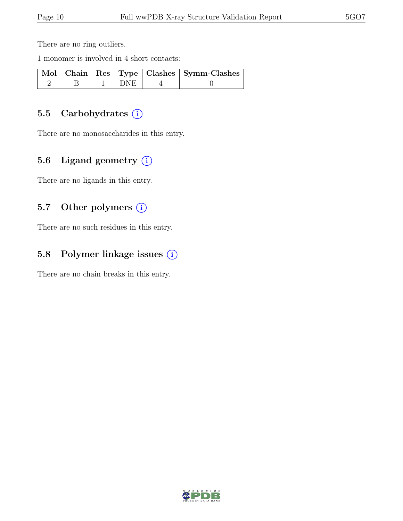There are no ring outliers.

1 monomer is involved in 4 short contacts:

|  |        | Mol   Chain   Res   Type   Clashes   Symm-Clashes |
|--|--------|---------------------------------------------------|
|  | l DNE. |                                                   |

#### 5.5 Carbohydrates (i)

There are no monosaccharides in this entry.

#### 5.6 Ligand geometry  $(i)$

There are no ligands in this entry.

#### 5.7 Other polymers (i)

There are no such residues in this entry.

#### 5.8 Polymer linkage issues (i)

There are no chain breaks in this entry.

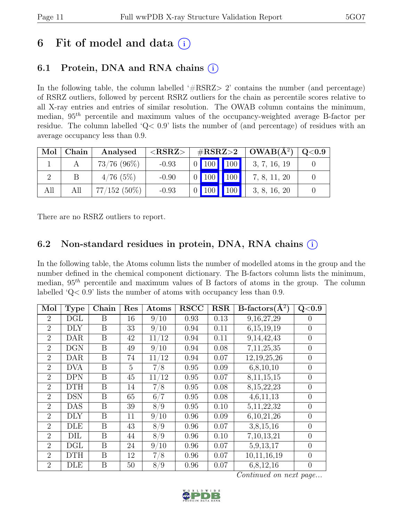## 6 Fit of model and data  $(i)$

### 6.1 Protein, DNA and RNA chains  $(i)$

In the following table, the column labelled  $#RSRZ>2$  contains the number (and percentage) of RSRZ outliers, followed by percent RSRZ outliers for the chain as percentile scores relative to all X-ray entries and entries of similar resolution. The OWAB column contains the minimum, median,  $95<sup>th</sup>$  percentile and maximum values of the occupancy-weighted average B-factor per residue. The column labelled 'Q< 0.9' lists the number of (and percentage) of residues with an average occupancy less than 0.9.

| Mol | Chain | Analysed       | ${ <\hspace{-1.5pt}{\mathrm{RSRZ}} \hspace{-1.5pt}>}$ |  | $\#\text{RSRZ}\text{>2}$ | $OWAB(A^2)$  | Q <sub>0.9</sub> |
|-----|-------|----------------|-------------------------------------------------------|--|--------------------------|--------------|------------------|
|     |       | $73/76$ (96\%) | $-0.93$                                               |  | 0   100   100            | 3, 7, 16, 19 |                  |
|     |       | 4/76(5%)       | $-0.90$                                               |  | 0   100   100            | 7, 8, 11, 20 |                  |
| All | All   | $77/152(50\%)$ | $-0.93$                                               |  | 100                      | 3, 8, 16, 20 |                  |

There are no RSRZ outliers to report.

#### 6.2 Non-standard residues in protein, DNA, RNA chains (i)

In the following table, the Atoms column lists the number of modelled atoms in the group and the number defined in the chemical component dictionary. The B-factors column lists the minimum, median,  $95<sup>th</sup>$  percentile and maximum values of B factors of atoms in the group. The column labelled 'Q< 0.9' lists the number of atoms with occupancy less than 0.9.

| Mol            | <b>Type</b> | Chain | Res | Atoms               | <b>RSCC</b> | <b>RSR</b> | $B\text{-factors}(\AA^2)$ | Q<0.9          |
|----------------|-------------|-------|-----|---------------------|-------------|------------|---------------------------|----------------|
| $\overline{2}$ | DGL         | B     | 16  | 9/10                | 0.93        | 0.13       | 9,16,27,29                | $\Omega$       |
| $\overline{2}$ | DLY         | B     | 33  | 9/10                | 0.94        | 0.11       | 6,15,19,19                | $\overline{0}$ |
| $\overline{2}$ | <b>DAR</b>  | B     | 42  | $^{\prime}12$<br>11 | 0.94        | 0.11       | 9, 14, 42, 43             | $\theta$       |
| $\overline{2}$ | <b>DGN</b>  | B     | 49  | 9/10                | 0.94        | 0.08       | 7,11,25,35                | $\theta$       |
| $\overline{2}$ | <b>DAR</b>  | B     | 74  | $^{\prime}12$<br>11 | 0.94        | 0.07       | 12,19,25,26               | $\overline{0}$ |
| $\overline{2}$ | <b>DVA</b>  | B     | 5   | 7/8                 | 0.95        | 0.09       | 6, 8, 10, 10              | $\overline{0}$ |
| $\overline{2}$ | DPN         | B     | 45  | $\sqrt{12}$<br>11   | 0.95        | 0.07       | 8,11,15,15                | $\overline{0}$ |
| $\overline{2}$ | <b>DTH</b>  | B     | 14  | 7/8                 | 0.95        | 0.08       | 8, 15, 22, 23             | $\overline{0}$ |
| $\overline{2}$ | <b>DSN</b>  | B     | 65  | 6/7                 | 0.95        | 0.08       | 4,6,11,13                 | $\overline{0}$ |
| $\overline{2}$ | <b>DAS</b>  | B     | 39  | 8/9                 | 0.95        | 0.10       | 5, 11, 22, 32             | $\theta$       |
| $\overline{2}$ | <b>DLY</b>  | B     | 11  | $\sqrt{10}$<br>9/   | 0.96        | 0.09       | 6,10,21,26                | $\overline{0}$ |
| $\overline{2}$ | DLE         | B     | 43  | 8/9                 | 0.96        | 0.07       | 3,8,15,16                 | $\overline{0}$ |
| $\overline{2}$ | DIL         | B     | 44  | 8/9                 | 0.96        | 0.10       | 7,10,13,21                | $\theta$       |
| $\overline{2}$ | DGL         | B     | 24  | $\sqrt{10}$<br>9/   | 0.96        | 0.07       | 5,9,13,17                 | $\overline{0}$ |
| $\overline{2}$ | <b>DTH</b>  | B     | 12  | 7/8                 | 0.96        | 0.07       | 10,11,16,19               | $\overline{0}$ |
| $\overline{2}$ | DLE         | B     | 50  | 8/9                 | 0.96        | 0.07       | 6,8,12,16                 | $\theta$       |

Continued on next page...

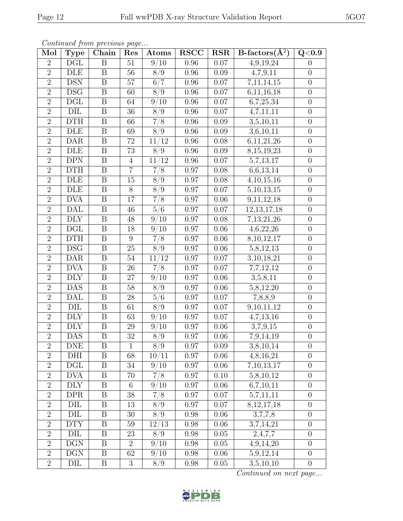| Continued from previous page |                           |                         |                 |                     |             |            |                        |                  |  |  |  |
|------------------------------|---------------------------|-------------------------|-----------------|---------------------|-------------|------------|------------------------|------------------|--|--|--|
| Mol                          | <b>Type</b>               | Chain                   | Res             | Atoms               | <b>RSCC</b> | <b>RSR</b> | B-factors $(\AA^2)$    | Q <sub>0.9</sub> |  |  |  |
| $\overline{2}$               | $\overline{\text{DGL}}$   | $\boldsymbol{B}$        | 51              | 9/10                | 0.96        | 0.07       | 4,9,19,24              | $\overline{0}$   |  |  |  |
| $\overline{2}$               | DLE                       | $\boldsymbol{B}$        | 56              | 8/9                 | 0.96        | $0.09\,$   | 4,7,9,11               | $\boldsymbol{0}$ |  |  |  |
| $\overline{2}$               | DSN                       | $\boldsymbol{B}$        | $57\,$          | 6/7                 | 0.96        | $0.07\,$   | 7,11,14,15             | $\boldsymbol{0}$ |  |  |  |
| $\overline{2}$               | DSG                       | $\boldsymbol{B}$        | 60              | 8/9                 | $0.96\,$    | $0.07\,$   | 6,11,16,18             | $\boldsymbol{0}$ |  |  |  |
| $\overline{2}$               | $\operatorname{DGL}$      | $\boldsymbol{B}$        | 64              | 9/10                | $0.96\,$    | $0.07\,$   | 6,7,25,34              | $\boldsymbol{0}$ |  |  |  |
| $\overline{2}$               | $\overline{\mathrm{DIL}}$ | $\overline{B}$          | $\overline{36}$ | $\overline{8/9}$    | $0.96\,$    | 0.07       | 4,7,11,11              | $\boldsymbol{0}$ |  |  |  |
| $\overline{2}$               | <b>DTH</b>                | B                       | 66              | 7/8                 | 0.96        | 0.09       | 3,5,10,11              | $\boldsymbol{0}$ |  |  |  |
| $\overline{2}$               | <b>DLE</b>                | $\overline{B}$          | 69              | $\overline{8/9}$    | $0.96\,$    | 0.09       | 3,6,10,11              | $\boldsymbol{0}$ |  |  |  |
| $\overline{2}$               | <b>DAR</b>                | $\boldsymbol{B}$        | 72              | 11/12               | $0.96\,$    | 0.08       | 6,11,21,26             | $\boldsymbol{0}$ |  |  |  |
| $\overline{2}$               | <b>DLE</b>                | $\overline{\mathbf{B}}$ | $\overline{73}$ | $\overline{8/9}$    | $0.96\,$    | $0.09\,$   | 8, 15, 19, 23          | $\boldsymbol{0}$ |  |  |  |
| $\overline{2}$               | <b>DPN</b>                | $\overline{B}$          | $\overline{4}$  | 12<br>11            | $0.96\,$    | $0.07\,$   | 5,7,13,17              | $\boldsymbol{0}$ |  |  |  |
| $\overline{2}$               | $\overline{DTH}$          | $\boldsymbol{B}$        | $\overline{7}$  | 7/8                 | $0.97\,$    | 0.08       | 6,6,13,14              | $\boldsymbol{0}$ |  |  |  |
| $\overline{2}$               | DLE                       | $\boldsymbol{B}$        | 15              | 8/9                 | $0.97\,$    | 0.08       | 4,10,15,16             | $\boldsymbol{0}$ |  |  |  |
| $\overline{2}$               | $\overline{\text{DLE}}$   | $\boldsymbol{B}$        | 8               | 8/9                 | $0.97\,$    | 0.07       | 5, 10, 13, 15          | $\boldsymbol{0}$ |  |  |  |
| $\overline{2}$               | <b>DVA</b>                | $\overline{\mathbf{B}}$ | 17              | $\overline{7/8}$    | $0.97\,$    | 0.06       | 9,11,12,18             | $\overline{0}$   |  |  |  |
| $\overline{2}$               | <b>DAL</b>                | $\boldsymbol{B}$        | 46              | 5/6                 | 0.97        | 0.07       | 12, 13, 17, 18         | $\theta$         |  |  |  |
| $\overline{2}$               | <b>DLY</b>                | $\boldsymbol{B}$        | 48              | 9/10                | 0.97        | 0.08       | 7,13,21,26             | $\boldsymbol{0}$ |  |  |  |
| $\overline{2}$               | $\overline{\text{DGL}}$   | $\boldsymbol{B}$        | 18              | 9/10                | $0.97\,$    | 0.06       | 4,6,22,26              | $\boldsymbol{0}$ |  |  |  |
| $\overline{2}$               | <b>DTH</b>                | $\boldsymbol{B}$        | $\overline{9}$  | 7/8                 | $0.97\,$    | 0.06       | 8, 10, 12, 17          | $\boldsymbol{0}$ |  |  |  |
| $\overline{2}$               | DSG                       | $\boldsymbol{B}$        | $25\,$          | $\overline{8/9}$    | 0.97        | 0.06       | 5,8,12,13              | $\theta$         |  |  |  |
| $\overline{2}$               | DAR                       | $\boldsymbol{B}$        | $54\,$          | 11/12               | $0.97\,$    | 0.07       | 3, 10, 18, 21          | $\boldsymbol{0}$ |  |  |  |
| $\overline{2}$               | <b>DVA</b>                | B                       | 26              | 7/8                 | 0.97        | $0.07\,$   | 7,7,12,12              | $\boldsymbol{0}$ |  |  |  |
| $\overline{2}$               | <b>DLY</b>                | $\boldsymbol{B}$        | 27              | 9/10                | 0.97        | 0.06       | 3,5,8,11               | $\boldsymbol{0}$ |  |  |  |
| $\overline{2}$               | DAS                       | $\boldsymbol{B}$        | $58\,$          | 8/9                 | $0.97\,$    | 0.06       | 5,8,12,20              | $\boldsymbol{0}$ |  |  |  |
| $\overline{2}$               | <b>DAL</b>                | $\overline{B}$          | $\overline{28}$ | $\overline{5/6}$    | $0.97\,$    | $0.07\,$   | $\overline{7,8,8,9}$   | $\overline{0}$   |  |  |  |
| $\overline{2}$               | DIL                       | B                       | 61              | 8/9                 | 0.97        | 0.07       | 9,10,11,12             | $\boldsymbol{0}$ |  |  |  |
| $\overline{2}$               | <b>DLY</b>                | $\overline{B}$          | $\overline{63}$ | 9/10                | 0.97        | 0.07       | $4,\overline{7,13,16}$ | $\boldsymbol{0}$ |  |  |  |
| $\overline{2}$               | <b>DLY</b>                | $\overline{B}$          | 29              | 9/<br>$^{\prime}10$ | 0.97        | 0.06       | 3,7,9,15               | $\boldsymbol{0}$ |  |  |  |
| $\overline{2}$               | $\overline{\text{DAS}}$   | $\overline{B}$          | $\overline{32}$ | $\overline{8/9}$    | $0.97\,$    | $0.06\,$   | $\overline{7,9,1}4,19$ | $\boldsymbol{0}$ |  |  |  |
| $\overline{2}$               | DNE                       | B                       | $\mathbf{1}$    | 8/9                 | 0.97        | 0.09       | $\overline{3,8,10,14}$ | $\overline{0}$   |  |  |  |
| $\overline{2}$               | DHI                       | $\boldsymbol{B}$        | 68              | 10/11               | $0.97\,$    | $0.06\,$   | 4,8,16,21              | $\theta$         |  |  |  |
| $\overline{2}$               | DGL                       | B                       | 34              | 9/10                | 0.97        | 0.06       | 7,10,13,17             | $\boldsymbol{0}$ |  |  |  |
| $\overline{2}$               | <b>DVA</b>                | $\boldsymbol{B}$        | 70              | 7/8                 | $0.97\,$    | 0.10       | 5,8,10,12              | $\theta$         |  |  |  |
| $\overline{2}$               | <b>DLY</b>                | B                       | 6               | 9/10                | 0.97        | 0.06       | 6,7,10,11              | $\boldsymbol{0}$ |  |  |  |
| $\overline{2}$               | <b>DPR</b>                | $\boldsymbol{B}$        | 38              | 7/8                 | 0.97        | 0.07       | 5,7,11,11              | $\overline{0}$   |  |  |  |
| $\overline{2}$               | DIL                       | B                       | 13              | 8/9                 | 0.97        | 0.07       | 8, 12, 17, 18          | $\overline{0}$   |  |  |  |
| $\overline{2}$               | DIL                       | B                       | $30\,$          | 8/9                 | 0.98        | 0.06       | 3,7,7,8                | $\theta$         |  |  |  |
| $\overline{2}$               | <b>DTY</b>                | B                       | 59              | 12/13               | 0.98        | 0.06       | 3,7,14,21              | $\boldsymbol{0}$ |  |  |  |
| $\overline{2}$               | DIL                       | $\boldsymbol{B}$        | 23              | 8/9                 | 0.98        | 0.05       | 2,4,7,7                | $\overline{0}$   |  |  |  |
| $\overline{2}$               | <b>DGN</b>                | B                       | $\overline{2}$  | 9/10                | 0.98        | 0.05       | 4,9,14,20              | $\theta$         |  |  |  |
| $\overline{2}$               | DGN                       | B                       | 62              | 9/10                | 0.98        | 0.06       | 5,9,12,14              | $\theta$         |  |  |  |
| $\overline{2}$               | DIL                       | B                       | $\sqrt{3}$      | 8/9                 | 0.98        | 0.05       | 3,5,10,10              | $\boldsymbol{0}$ |  |  |  |

Continued from previous page...

Continued on next page...